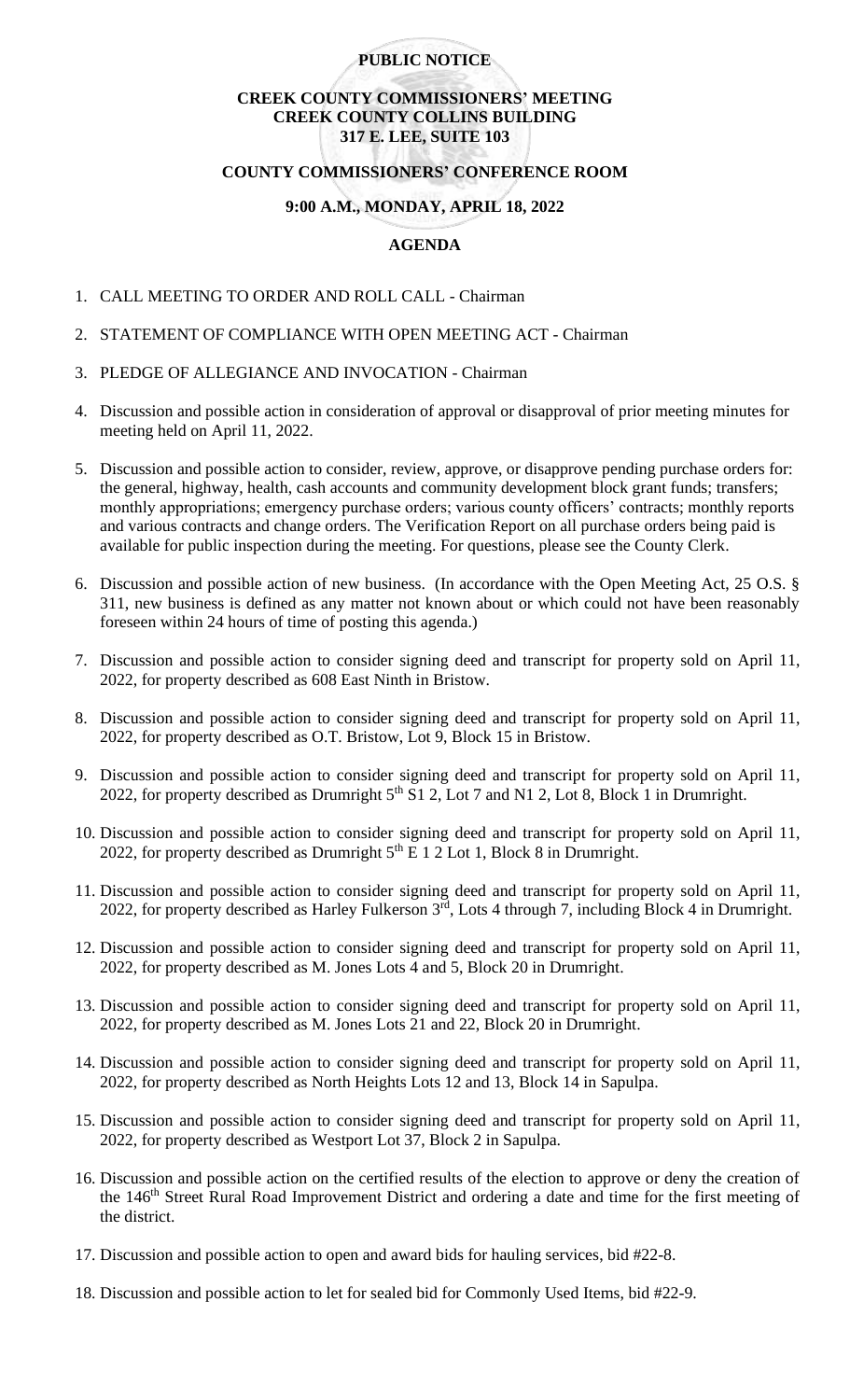# **PUBLIC NOTICE**

# **CREEK COUNTY COMMISSIONERS' MEETING CREEK COUNTY COLLINS BUILDING 317 E. LEE, SUITE 103**

#### **COUNTY COMMISSIONERS' CONFERENCE ROOM**

### **9:00 A.M., MONDAY, APRIL 18, 2022**

### **AGENDA**

- 1. CALL MEETING TO ORDER AND ROLL CALL Chairman
- 2. STATEMENT OF COMPLIANCE WITH OPEN MEETING ACT Chairman
- 3. PLEDGE OF ALLEGIANCE AND INVOCATION Chairman
- 4. Discussion and possible action in consideration of approval or disapproval of prior meeting minutes for meeting held on April 11, 2022.
- 5. Discussion and possible action to consider, review, approve, or disapprove pending purchase orders for: the general, highway, health, cash accounts and community development block grant funds; transfers; monthly appropriations; emergency purchase orders; various county officers' contracts; monthly reports and various contracts and change orders. The Verification Report on all purchase orders being paid is available for public inspection during the meeting. For questions, please see the County Clerk.
- 6. Discussion and possible action of new business. (In accordance with the Open Meeting Act, 25 O.S. § 311, new business is defined as any matter not known about or which could not have been reasonably foreseen within 24 hours of time of posting this agenda.)
- 7. Discussion and possible action to consider signing deed and transcript for property sold on April 11, 2022, for property described as 608 East Ninth in Bristow.
- 8. Discussion and possible action to consider signing deed and transcript for property sold on April 11, 2022, for property described as O.T. Bristow, Lot 9, Block 15 in Bristow.
- 9. Discussion and possible action to consider signing deed and transcript for property sold on April 11, 2022, for property described as Drumright  $5<sup>th</sup>$  S1 2, Lot 7 and N1 2, Lot 8, Block 1 in Drumright.
- 10. Discussion and possible action to consider signing deed and transcript for property sold on April 11, 2022, for property described as Drumright  $5<sup>th</sup>$  E 1 2 Lot 1, Block 8 in Drumright.
- 11. Discussion and possible action to consider signing deed and transcript for property sold on April 11, 2022, for property described as Harley Fulkerson 3rd, Lots 4 through 7, including Block 4 in Drumright.
- 12. Discussion and possible action to consider signing deed and transcript for property sold on April 11, 2022, for property described as M. Jones Lots 4 and 5, Block 20 in Drumright.
- 13. Discussion and possible action to consider signing deed and transcript for property sold on April 11, 2022, for property described as M. Jones Lots 21 and 22, Block 20 in Drumright.
- 14. Discussion and possible action to consider signing deed and transcript for property sold on April 11, 2022, for property described as North Heights Lots 12 and 13, Block 14 in Sapulpa.
- 15. Discussion and possible action to consider signing deed and transcript for property sold on April 11, 2022, for property described as Westport Lot 37, Block 2 in Sapulpa.
- 16. Discussion and possible action on the certified results of the election to approve or deny the creation of the 146<sup>th</sup> Street Rural Road Improvement District and ordering a date and time for the first meeting of the district.
- 17. Discussion and possible action to open and award bids for hauling services, bid #22-8.
- 18. Discussion and possible action to let for sealed bid for Commonly Used Items, bid #22-9.